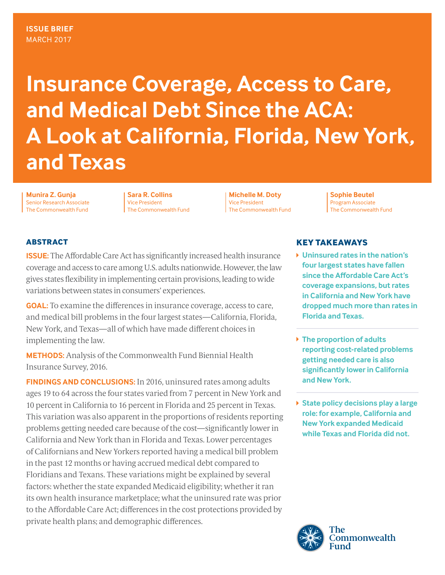# **Insurance Coverage, Access to Care, and Medical Debt Since the ACA: A Look at California, Florida, New York, and Texas**

**Munira Z. Gunja** Senior Research Associate The Commonwealth Fund

**Sara R. Collins** Vice President The Commonwealth Fund

**Michelle M. Doty** Vice President The Commonwealth Fund

**Sophie Beutel** Program Associate The Commonwealth Fund

# **ABSTRACT**

**ISSUE:** The Affordable Care Act has significantly increased health insurance coverage and access to care among U.S. adults nationwide. However, the law gives states flexibility in implementing certain provisions, leading to wide variations between states in consumers' experiences.

**GOAL:** To examine the differences in insurance coverage, access to care, and medical bill problems in the four largest states—California, Florida, New York, and Texas—all of which have made different choices in implementing the law.

**METHODS:** Analysis of the Commonwealth Fund Biennial Health Insurance Survey, 2016.

**FINDINGS AND CONCLUSIONS:** In 2016, uninsured rates among adults ages 19 to 64 across the four states varied from 7 percent in New York and 10 percent in California to 16 percent in Florida and 25 percent in Texas. This variation was also apparent in the proportions of residents reporting problems getting needed care because of the cost—significantly lower in California and New York than in Florida and Texas. Lower percentages of Californians and New Yorkers reported having a medical bill problem in the past 12 months or having accrued medical debt compared to Floridians and Texans. These variations might be explained by several factors: whether the state expanded Medicaid eligibility; whether it ran its own health insurance marketplace; what the uninsured rate was prior to the Affordable Care Act; differences in the cost protections provided by private health plans; and demographic differences.

# **KEY TAKEAWAYS**

- **Uninsured rates in the nation's four largest states have fallen since the Affordable Care Act's coverage expansions, but rates in California and New York have dropped much more than rates in Florida and Texas.**
- **The proportion of adults reporting cost-related problems getting needed care is also significantly lower in California and New York.**
- **State policy decisions play a large role: for example, California and New York expanded Medicaid while Texas and Florida did not.**

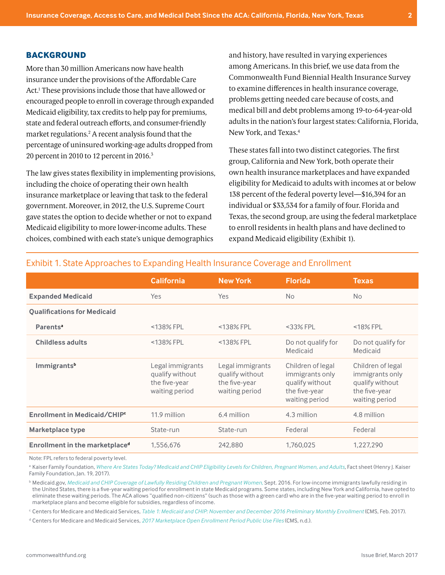#### **BACKGROUND**

More than 30 million Americans now have health insurance under the provisions of the Affordable Care Act.1 These provisions include those that have allowed or encouraged people to enroll in coverage through expanded Medicaid eligibility, tax credits to help pay for premiums, state and federal outreach efforts, and consumer-friendly market regulations.2 A recent analysis found that the percentage of uninsured working-age adults dropped from 20 percent in 2010 to 12 percent in 2016.3

The law gives states flexibility in implementing provisions, including the choice of operating their own health insurance marketplace or leaving that task to the federal government. Moreover, in 2012, the U.S. Supreme Court gave states the option to decide whether or not to expand Medicaid eligibility to more lower-income adults. These choices, combined with each state's unique demographics

and history, have resulted in varying experiences among Americans. In this brief, we use data from the Commonwealth Fund Biennial Health Insurance Survey to examine differences in health insurance coverage, problems getting needed care because of costs, and medical bill and debt problems among 19-to-64-year-old adults in the nation's four largest states: California, Florida, New York, and Texas.4

These states fall into two distinct categories. The first group, California and New York, both operate their own health insurance marketplaces and have expanded eligibility for Medicaid to adults with incomes at or below 138 percent of the federal poverty level—\$16,394 for an individual or \$33,534 for a family of four. Florida and Texas, the second group, are using the federal marketplace to enroll residents in health plans and have declined to expand Medicaid eligibility (Exhibit 1).

|                                            | <b>California</b>                                                      | <b>New York</b>                                                        | <b>Florida</b>                                                                             | <b>Texas</b>                                                                               |
|--------------------------------------------|------------------------------------------------------------------------|------------------------------------------------------------------------|--------------------------------------------------------------------------------------------|--------------------------------------------------------------------------------------------|
| <b>Expanded Medicaid</b>                   | Yes.                                                                   | <b>Yes</b>                                                             | <b>No</b>                                                                                  | <b>No</b>                                                                                  |
| <b>Qualifications for Medicaid</b>         |                                                                        |                                                                        |                                                                                            |                                                                                            |
| Parents <sup>a</sup>                       | $<$ 138% FPL                                                           | <138% FPL                                                              | $<$ 33% FPL                                                                                | $<$ 18% FPL                                                                                |
| <b>Childless adults</b>                    | $<$ 138% FPL                                                           | <138% FPL                                                              | Do not qualify for<br>Medicaid                                                             | Do not qualify for<br>Medicaid                                                             |
| Immigrants <sup>b</sup>                    | Legal immigrants<br>qualify without<br>the five-year<br>waiting period | Legal immigrants<br>qualify without<br>the five-year<br>waiting period | Children of legal<br>immigrants only<br>qualify without<br>the five-year<br>waiting period | Children of legal<br>immigrants only<br>qualify without<br>the five-year<br>waiting period |
| Enrollment in Medicaid/CHIP <sup>c</sup>   | 11.9 million                                                           | 6.4 million                                                            | 4.3 million                                                                                | 4.8 million                                                                                |
| Marketplace type                           | State-run                                                              | State-run                                                              | Federal                                                                                    | Federal                                                                                    |
| Enrollment in the marketplace <sup>d</sup> | 1,556,676                                                              | 242,880                                                                | 1,760,025                                                                                  | 1,227,290                                                                                  |

# Exhibit 1. State Approaches to Expanding Health Insurance Coverage and Enrollment

Note: FPL refers to federal poverty level.

<sup>a</sup> Kaiser Family Foundation, [Where Are States Today? Medicaid and CHIP Eligibility Levels for Children, Pregnant Women, and Adults,](http://kff.org/medicaid/fact-sheet/where-are-states-today-medicaid-and-chip/) Fact sheet (Henry J. Kaiser Family Foundation, Jan. 19, 2017).

<sup>b</sup> Medicaid.gov, *[Medicaid and CHIP Coverage of Lawfully Residing Children and Pregnant Women,](https://www.medicaid.gov/medicaid/outreach-and-enrollment/lawfully-residing/index.html)* Sept. 2016. For low-income immigrants lawfully residing in the United States, there is a five-year waiting period for enrollment in state Medicaid programs. Some states, including New York and California, have opted to eliminate these waiting periods. The ACA allows "qualified non-citizens" (such as those with a green card) who are in the five-year waiting period to enroll in marketplace plans and become eligible for subsidies, regardless of income.

<sup>c</sup> Centers for Medicare and Medicaid Services, *[Table 1: Medicaid and CHIP: November and December 2016 Preliminary Monthly Enrollment](https://nationaldisabilitynavigator.org/wp-content/uploads/news-items/CMS-Medicaid-Dec-2016-Enrollment-Report.pdf) (CMS, Feb. 2017).* 

<sup>d</sup> Centers for Medicare and Medicaid Services, *[2017 Marketplace Open Enrollment Period Public Use Files](https://www.cms.gov/Research-Statistics-Data-and-Systems/Statistics-Trends-and-Reports/Marketplace-Products/Plan_Selection_ZIP.html)* (CMS, n.d.).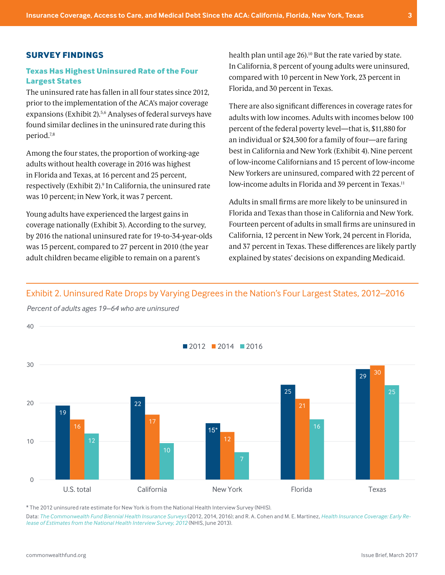#### **SURVEY FINDINGS**

#### **Texas Has Highest Uninsured Rate of the Four Largest States**

The uninsured rate has fallen in all four states since 2012, prior to the implementation of the ACA's major coverage expansions (Exhibit 2).<sup>5,6</sup> Analyses of federal surveys have found similar declines in the uninsured rate during this period.7,8

Among the four states, the proportion of working-age adults without health coverage in 2016 was highest in Florida and Texas, at 16 percent and 25 percent, respectively (Exhibit 2).9 In California, the uninsured rate was 10 percent; in New York, it was 7 percent.

Young adults have experienced the largest gains in coverage nationally (Exhibit 3). According to the survey, by 2016 the national uninsured rate for 19-to-34-year-olds was 15 percent, compared to 27 percent in 2010 (the year adult children became eligible to remain on a parent's

health plan until age 26).<sup>10</sup> But the rate varied by state. In California, 8 percent of young adults were uninsured, compared with 10 percent in New York, 23 percent in Florida, and 30 percent in Texas.

There are also significant differences in coverage rates for adults with low incomes. Adults with incomes below 100 percent of the federal poverty level—that is, \$11,880 for an individual or \$24,300 for a family of four—are faring best in California and New York (Exhibit 4). Nine percent of low-income Californians and 15 percent of low-income New Yorkers are uninsured, compared with 22 percent of low-income adults in Florida and 39 percent in Texas.<sup>11</sup>

Adults in small firms are more likely to be uninsured in Florida and Texas than those in California and New York. Fourteen percent of adults in small firms are uninsured in California, 12 percent in New York, 24 percent in Florida, and 37 percent in Texas. These differences are likely partly explained by states' decisions on expanding Medicaid.

# Exhibit 2. Uninsured Rate Drops by Varying Degrees in the Nation's Four Largest States, 2012–2016 2012–2016



*Percent of adults ages 19–64 who are uninsured*

\* The 2012 uninsured rate estimate for New York is from the National Health Interview Survey (NHIS). \* The 2012 uninsured rate estimate for New York is from the National Health Interview Survey (NHIS).

Data: [The Commonwealth Fund Biennial Health Insurance Surveys](http://www.commonwealthfund.org/interactives-and-data/surveys/biennial-health-insurance-surveys) (2012, 2014, 2016); and R. A. Cohen and M. E. Martinez, [Health Insurance Coverage: Early Re](https://www.cdc.gov/nchs/data/nhis/earlyrelease/insur201306.pdf)*from the National Health Interview Survey, 2012* (NHIS, June 2013). *[lease of Estimates from the National Health Interview Survey, 2012](https://www.cdc.gov/nchs/data/nhis/earlyrelease/insur201306.pdf)* (NHIS, June 2013).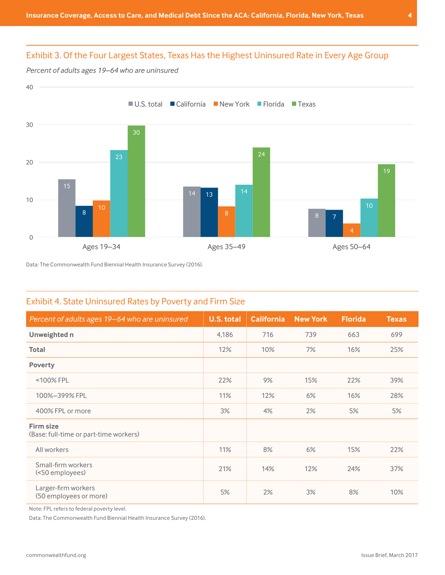# Exhibit 3. Of the Four Largest States, Texas Has the Highest Uninsured Rate in Every Age Group Group

*Percent of adults ages 19–64 who are uninsured*

Exhibit 3



Data: The Commonwealth Fund Biennial Health Insurance Survey (2016). Data: The Commonwealth Fund Biennial Health Insurance Survey (2016).

# Exhibit 4. State Uninsured Rates by Poverty and Firm Size

| Percent of adults ages 19–64 who are uninsured             | <b>U.S. total</b> | <b>California</b> | <b>New York</b> | <b>Florida</b> | <b>Texas</b> |
|------------------------------------------------------------|-------------------|-------------------|-----------------|----------------|--------------|
| Unweighted n                                               | 4,186             | 716               | 739             | 663            | 699          |
| <b>Total</b>                                               | 12%               | 10%               | 7%              | 16%            | 25%          |
| <b>Poverty</b>                                             |                   |                   |                 |                |              |
| <100% FPL                                                  | 22%               | 9%                | 15%             | 22%            | 39%          |
| 100%-399% FPL                                              | 11%               | 12%               | 6%              | 16%            | 28%          |
| 400% FPL or more                                           | 3%                | 4%                | 2%              | 5%             | 5%           |
| <b>Firm size</b><br>(Base: full-time or part-time workers) |                   |                   |                 |                |              |
| All workers                                                | 11%               | 8%                | 6%              | 15%            | 22%          |
| Small-firm workers<br>(<50 employees)                      | 21%               | 14%               | 12%             | 24%            | 37%          |
| Larger-firm workers<br>(50 employees or more)              | 5%                | 2%                | 3%              | 8%             | 10%          |

Note: FPL refers to federal poverty level.

Data: The Commonwealth Fund Biennial Health Insurance Survey (2016).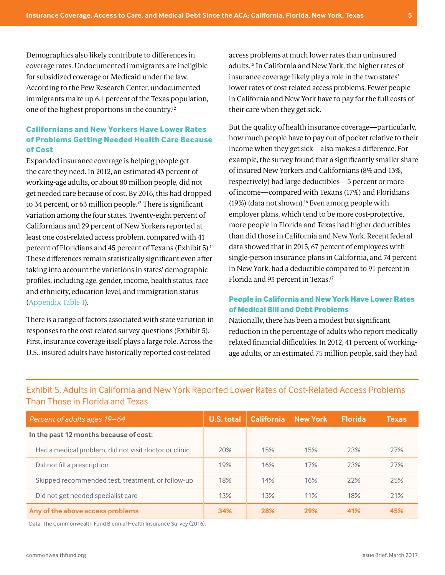Demographics also likely contribute to differences in coverage rates. Undocumented immigrants are ineligible for subsidized coverage or Medicaid under the law. According to the Pew Research Center, undocumented immigrants make up 6.1 percent of the Texas population, one of the highest proportions in the country.12

# **Californians and New Yorkers Have Lower Rates of Problems Getting Needed Health Care Because of Cost**

Expanded insurance coverage is helping people get the care they need. In 2012, an estimated 43 percent of working-age adults, or about 80 million people, did not get needed care because of cost. By 2016, this had dropped to 34 percent, or 63 million people.13 There is significant variation among the four states. Twenty-eight percent of Californians and 29 percent of New Yorkers reported at least one cost-related access problem, compared with 41 percent of Floridians and 45 percent of Texans (Exhibit 5).<sup>14</sup> These differences remain statistically significant even after taking into account the variations in states' demographic profiles, including age, gender, income, health status, race and ethnicity, education level, and immigration status [\(Appendix Table 1](#page-10-0)).

There is a range of factors associated with state variation in responses to the cost-related survey questions (Exhibit 5). First, insurance coverage itself plays a large role. Across the U.S., insured adults have historically reported cost-related

access problems at much lower rates than uninsured adults.15 In California and New York, the higher rates of insurance coverage likely play a role in the two states' lower rates of cost-related access problems. Fewer people in California and New York have to pay for the full costs of their care when they get sick.

But the quality of health insurance coverage—particularly, how much people have to pay out of pocket relative to their income when they get sick—also makes a difference. For example, the survey found that a significantly smaller share of insured New Yorkers and Californians (8% and 13%, respectively) had large deductibles—5 percent or more of income—compared with Texans (17%) and Floridians (19%) (data not shown).16 Even among people with employer plans, which tend to be more cost-protective, more people in Florida and Texas had higher deductibles than did those in California and New York. Recent federal data showed that in 2015, 67 percent of employees with single-person insurance plans in California, and 74 percent in New York, had a deductible compared to 91 percent in Florida and 93 percent in Texas.17

## **People in California and New York Have Lower Rates of Medical Bill and Debt Problems**

Nationally, there has been a modest but significant reduction in the percentage of adults who report medically related financial difficulties. In 2012, 41 percent of workingage adults, or an estimated 75 million people, said they had

| Percent of adults ages 19–64                          | U.S. total | <b>California</b> | <b>New York</b> | <b>Florida</b> | <b>Texas</b> |
|-------------------------------------------------------|------------|-------------------|-----------------|----------------|--------------|
| In the past 12 months because of cost:                |            |                   |                 |                |              |
| Had a medical problem, did not visit doctor or clinic | 20%        | 15%               | 15%             | 23%            | 27%          |
| Did not fill a prescription                           | 19%        | 16%               | 17%             | 23%            | 27%          |
| Skipped recommended test, treatment, or follow-up     | 18%        | 14%               | 16%             | 22%            | 25%          |
| Did not get needed specialist care                    | 13%        | 13%               | 11%             | 18%            | 21%          |
| Any of the above access problems                      | 34%        | 28%               | 29%             | 41%            | 45%          |

# Exhibit 5. Adults in California and New York Reported Lower Rates of Cost-Related Access Problems Than Those in Florida and Texas

Data: The Commonwealth Fund Biennial Health Insurance Survey (2016).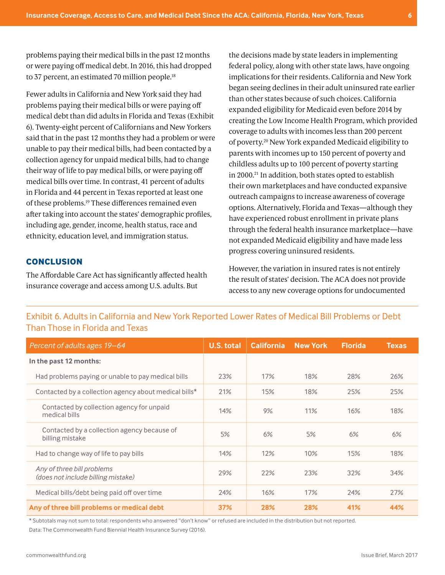problems paying their medical bills in the past 12 months or were paying off medical debt. In 2016, this had dropped to 37 percent, an estimated 70 million people.<sup>18</sup>

Fewer adults in California and New York said they had problems paying their medical bills or were paying off medical debt than did adults in Florida and Texas (Exhibit 6). Twenty-eight percent of Californians and New Yorkers said that in the past 12 months they had a problem or were unable to pay their medical bills, had been contacted by a collection agency for unpaid medical bills, had to change their way of life to pay medical bills, or were paying off medical bills over time. In contrast, 41 percent of adults in Florida and 44 percent in Texas reported at least one of these problems.19 These differences remained even after taking into account the states' demographic profiles, including age, gender, income, health status, race and ethnicity, education level, and immigration status.

## **CONCLUSION**

The Affordable Care Act has significantly affected health insurance coverage and access among U.S. adults. But

the decisions made by state leaders in implementing federal policy, along with other state laws, have ongoing implications for their residents. California and New York began seeing declines in their adult uninsured rate earlier than other states because of such choices. California expanded eligibility for Medicaid even before 2014 by creating the Low Income Health Program, which provided coverage to adults with incomes less than 200 percent of poverty.20 New York expanded Medicaid eligibility to parents with incomes up to 150 percent of poverty and childless adults up to 100 percent of poverty starting in 2000.<sup>21</sup> In addition, both states opted to establish their own marketplaces and have conducted expansive outreach campaigns to increase awareness of coverage options. Alternatively, Florida and Texas—although they have experienced robust enrollment in private plans through the federal health insurance marketplace—have not expanded Medicaid eligibility and have made less progress covering uninsured residents.

However, the variation in insured rates is not entirely the result of states' decision. The ACA does not provide access to any new coverage options for undocumented

| Percent of adults ages 19-64                                     | U.S. total | <b>California</b> | <b>New York</b> | <b>Florida</b> | <b>Texas</b> |
|------------------------------------------------------------------|------------|-------------------|-----------------|----------------|--------------|
| In the past 12 months:                                           |            |                   |                 |                |              |
| Had problems paying or unable to pay medical bills               | 23%        | 17%               | 18%             | 28%            | 26%          |
| Contacted by a collection agency about medical bills*            | 21%        | 15%               | 18%             | 25%            | 25%          |
| Contacted by collection agency for unpaid<br>medical bills       | 14%        | 9%                | 11%             | 16%            | 18%          |
| Contacted by a collection agency because of<br>billing mistake   | 5%         | 6%                | 5%              | 6%             | 6%           |
| Had to change way of life to pay bills                           | 14%        | 12%               | 10%             | 15%            | 18%          |
| Any of three bill problems<br>(does not include billing mistake) | 29%        | 22%               | 23%             | 32%            | 34%          |
| Medical bills/debt being paid off over time                      | 24%        | 16%               | 17%             | 24%            | 27%          |
| Any of three bill problems or medical debt                       | 37%        | 28%               | 28%             | 41%            | 44%          |

Exhibit 6. Adults in California and New York Reported Lower Rates of Medical Bill Problems or Debt Than Those in Florida and Texas

\* Subtotals may not sum to total: respondents who answered "don't know" or refused are included in the distribution but not reported. Data: The Commonwealth Fund Biennial Health Insurance Survey (2016).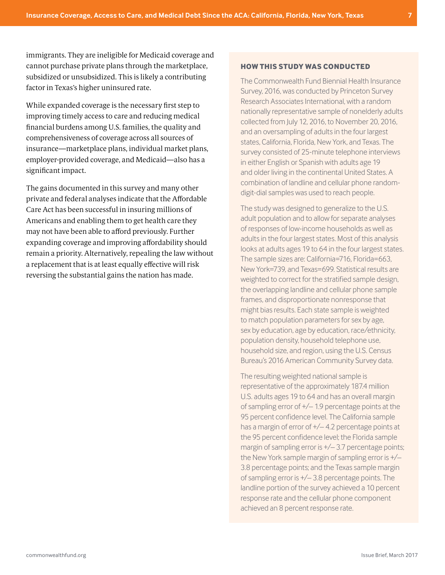immigrants. They are ineligible for Medicaid coverage and cannot purchase private plans through the marketplace, subsidized or unsubsidized. This is likely a contributing factor in Texas's higher uninsured rate.

While expanded coverage is the necessary first step to improving timely access to care and reducing medical financial burdens among U.S. families, the quality and comprehensiveness of coverage across all sources of insurance—marketplace plans, individual market plans, employer-provided coverage, and Medicaid—also has a significant impact.

The gains documented in this survey and many other private and federal analyses indicate that the Affordable Care Act has been successful in insuring millions of Americans and enabling them to get health care they may not have been able to afford previously. Further expanding coverage and improving affordability should remain a priority. Alternatively, repealing the law without a replacement that is at least equally effective will risk reversing the substantial gains the nation has made.

#### **HOW THIS STUDY WAS CONDUCTED**

The Commonwealth Fund Biennial Health Insurance Survey, 2016, was conducted by Princeton Survey Research Associates International, with a random nationally representative sample of nonelderly adults collected from July 12, 2016, to November 20, 2016, and an oversampling of adults in the four largest states, California, Florida, New York, and Texas. The survey consisted of 25-minute telephone interviews in either English or Spanish with adults age 19 and older living in the continental United States. A combination of landline and cellular phone randomdigit-dial samples was used to reach people.

The study was designed to generalize to the U.S. adult population and to allow for separate analyses of responses of low-income households as well as adults in the four largest states. Most of this analysis looks at adults ages 19 to 64 in the four largest states. The sample sizes are: California=716, Florida=663, New York=739, and Texas=699. Statistical results are weighted to correct for the stratified sample design, the overlapping landline and cellular phone sample frames, and disproportionate nonresponse that might bias results. Each state sample is weighted to match population parameters for sex by age, sex by education, age by education, race/ethnicity, population density, household telephone use, household size, and region, using the U.S. Census Bureau's 2016 American Community Survey data.

The resulting weighted national sample is representative of the approximately 187.4 million U.S. adults ages 19 to 64 and has an overall margin of sampling error of +/– 1.9 percentage points at the 95 percent confidence level. The California sample has a margin of error of +/– 4.2 percentage points at the 95 percent confidence level; the Florida sample margin of sampling error is +/– 3.7 percentage points; the New York sample margin of sampling error is +/– 3.8 percentage points; and the Texas sample margin of sampling error is +/– 3.8 percentage points. The landline portion of the survey achieved a 10 percent response rate and the cellular phone component achieved an 8 percent response rate.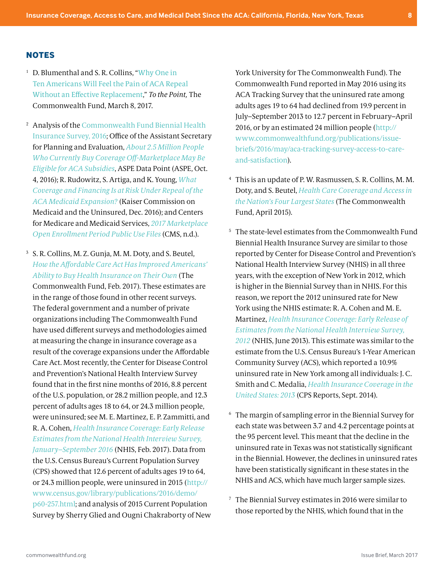#### **NOTES**

- 1 D. Blumenthal and S. R. Collins, "[Why One in](http://www.commonwealthfund.org/publications/blog/2017/mar/one-in-ten-will-feel-pain-aca-repeal-replace)  [Ten Americans Will Feel the Pain of ACA Repeal](http://www.commonwealthfund.org/publications/blog/2017/mar/one-in-ten-will-feel-pain-aca-repeal-replace)  [Without an Effective Replacement](http://www.commonwealthfund.org/publications/blog/2017/mar/one-in-ten-will-feel-pain-aca-repeal-replace)," *To the Point,* The Commonwealth Fund, March 8, 2017.
- 2 Analysis of the [Commonwealth Fund Biennial Health](http://www.commonwealthfund.org/interactives-and-data/surveys/biennial-health-insurance-surveys/2017/2016-biennial-health-insurance-survey)  [Insurance Survey, 2016;](http://www.commonwealthfund.org/interactives-and-data/surveys/biennial-health-insurance-surveys/2017/2016-biennial-health-insurance-survey) Office of the Assistant Secretary for Planning and Evaluation, *[About 2.5 Million People](https://aspe.hhs.gov/system/files/pdf/208306/OffMarketplaceSubsidyeligible.pdf)  [Who Currently Buy Coverage Off-Marketplace May Be](https://aspe.hhs.gov/system/files/pdf/208306/OffMarketplaceSubsidyeligible.pdf)  [Eligible for ACA Subsidies](https://aspe.hhs.gov/system/files/pdf/208306/OffMarketplaceSubsidyeligible.pdf)*, ASPE Data Point (ASPE, Oct. 4, 2016); R. Rudowitz, S. Artiga, and K. Young, *[What](http://kff.org/medicaid/issue-brief/what-coverage-and-financing-at-risk-under-repeal-of-aca-medicaid-expansion/)  [Coverage and Financing Is at Risk Under Repeal of the](http://kff.org/medicaid/issue-brief/what-coverage-and-financing-at-risk-under-repeal-of-aca-medicaid-expansion/)  [ACA Medicaid Expansion?](http://kff.org/medicaid/issue-brief/what-coverage-and-financing-at-risk-under-repeal-of-aca-medicaid-expansion/)* (Kaiser Commission on Medicaid and the Uninsured, Dec. 2016); and Centers for Medicare and Medicaid Services, *[2017 Marketplace](https://www.cms.gov/Research-Statistics-Data-and-Systems/Statistics-Trends-and-Reports/Marketplace-Products/Plan_Selection_ZIP.html)  [Open Enrollment Period Public Use Files](https://www.cms.gov/Research-Statistics-Data-and-Systems/Statistics-Trends-and-Reports/Marketplace-Products/Plan_Selection_ZIP.html)* (CMS, n.d.).

3 S. R. Collins, M. Z. Gunja, M. M. Doty, and S. Beutel, *[How the Affordable Care Act Has Improved Americans'](http://www.commonwealthfund.org/publications/issue-briefs/2017/feb/how-the-aca-has-improved-ability-to-buy-insurance)  [Ability to Buy Health Insurance on Their Own](http://www.commonwealthfund.org/publications/issue-briefs/2017/feb/how-the-aca-has-improved-ability-to-buy-insurance)* (The Commonwealth Fund, Feb. 2017). These estimates are in the range of those found in other recent surveys. The federal government and a number of private organizations including The Commonwealth Fund have used different surveys and methodologies aimed at measuring the change in insurance coverage as a result of the coverage expansions under the Affordable Care Act. Most recently, the Center for Disease Control and Prevention's National Health Interview Survey found that in the first nine months of 2016, 8.8 percent of the U.S. population, or 28.2 million people, and 12.3 percent of adults ages 18 to 64, or 24.3 million people, were uninsured; see M. E. Martinez, E. P. Zammitti, and R. A. Cohen, *[Health Insurance Coverage: Early Release](https://www.cdc.gov/nchs/data/nhis/earlyrelease/insur201702.pdf)  [Estimates from the National Health Interview Survey,](https://www.cdc.gov/nchs/data/nhis/earlyrelease/insur201702.pdf)  [January–September 2016](https://www.cdc.gov/nchs/data/nhis/earlyrelease/insur201702.pdf)* (NHIS, Feb. 2017). Data from the U.S. Census Bureau's Current Population Survey (CPS) showed that 12.6 percent of adults ages 19 to 64, or 24.3 million people, were uninsured in 2015 [\(http://](http://www.census.gov/library/publications/2016/demo/p60-257.html) [www.census.gov/library/publications/2016/demo/](http://www.census.gov/library/publications/2016/demo/p60-257.html) [p60-257.html;](http://www.census.gov/library/publications/2016/demo/p60-257.html) and analysis of 2015 Current Population Survey by Sherry Glied and Ougni Chakraborty of New York University for The Commonwealth Fund). The Commonwealth Fund reported in May 2016 using its ACA Tracking Survey that the uninsured rate among adults ages 19 to 64 had declined from 19.9 percent in July–September 2013 to 12.7 percent in February–April 2016, or by an estimated 24 million people [\(http://](http://www.commonwealthfund.org/publications/issue-briefs/2016/may/aca-tracking-survey-access-to-care-and-satisfaction) [www.commonwealthfund.org/publications/issue](http://www.commonwealthfund.org/publications/issue-briefs/2016/may/aca-tracking-survey-access-to-care-and-satisfaction)[briefs/2016/may/aca-tracking-survey-access-to-care](http://www.commonwealthfund.org/publications/issue-briefs/2016/may/aca-tracking-survey-access-to-care-and-satisfaction)[and-satisfaction](http://www.commonwealthfund.org/publications/issue-briefs/2016/may/aca-tracking-survey-access-to-care-and-satisfaction)).

- 4 This is an update of P. W. Rasmussen, S. R. Collins, M. M. Doty, and S. Beutel, *[Health Care Coverage and Access in](http://www.commonwealthfund.org/publications/issue-briefs/2015/apr/coverage-and-access)  [the Nation's Four Largest States](http://www.commonwealthfund.org/publications/issue-briefs/2015/apr/coverage-and-access)* (The Commonwealth Fund, April 2015).
- 5 The state-level estimates from the Commonwealth Fund Biennial Health Insurance Survey are similar to those reported by Center for Disease Control and Prevention's National Health Interview Survey (NHIS) in all three years, with the exception of New York in 2012, which is higher in the Biennial Survey than in NHIS. For this reason, we report the 2012 uninsured rate for New York using the NHIS estimate: R. A. Cohen and M. E. Martinez, *[Health Insurance Coverage: Early Release of](https://www.cdc.gov/nchs/data/nhis/earlyrelease/insur201306.pdf)  [Estimates from the National Health Interview Survey,](https://www.cdc.gov/nchs/data/nhis/earlyrelease/insur201306.pdf)  [2012](https://www.cdc.gov/nchs/data/nhis/earlyrelease/insur201306.pdf)* (NHIS, June 2013). This estimate was similar to the estimate from the U.S. Census Bureau's 1-Year American Community Survey (ACS), which reported a 10.9% uninsured rate in New York among all individuals: J. C. Smith and C. Medalia, *[Health Insurance Coverage in the](http://www.nber.org/cps/hi/2014redesign/p60-250.pdf)  [United States: 2013](http://www.nber.org/cps/hi/2014redesign/p60-250.pdf)* (CPS Reports, Sept. 2014).
- 6 The margin of sampling error in the Biennial Survey for each state was between 3.7 and 4.2 percentage points at the 95 percent level. This meant that the decline in the uninsured rate in Texas was not statistically significant in the Biennial. However, the declines in uninsured rates have been statistically significant in these states in the NHIS and ACS, which have much larger sample sizes.
- 7 The Biennial Survey estimates in 2016 were similar to those reported by the NHIS, which found that in the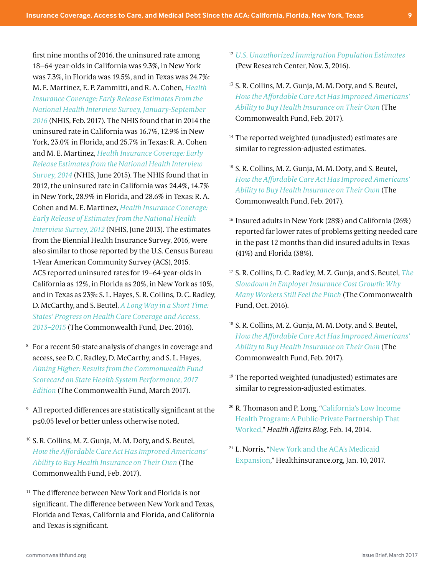first nine months of 2016, the uninsured rate among 18–64-year-olds in California was 9.3%, in New York was 7.3%, in Florida was 19.5%, and in Texas was 24.7%: M. E. Martinez, E. P. Zammitti, and R. A. Cohen, *[Health](https://www.cdc.gov/nchs/data/nhis/earlyrelease/insur201702.pdf)  [Insurance Coverage: Early Release Estimates From the](https://www.cdc.gov/nchs/data/nhis/earlyrelease/insur201702.pdf)  [National Health Interview Survey, January-September](https://www.cdc.gov/nchs/data/nhis/earlyrelease/insur201702.pdf)  [2016](https://www.cdc.gov/nchs/data/nhis/earlyrelease/insur201702.pdf)* (NHIS, Feb. 2017). The NHIS found that in 2014 the uninsured rate in California was 16.7%, 12.9% in New York, 23.0% in Florida, and 25.7% in Texas: R. A. Cohen and M. E. Martinez, *[Health Insurance Coverage: Early](https://www.cdc.gov/nchs/data/nhis/earlyrelease/insur201506.pdf)  [Release Estimates from the National Health Interview](https://www.cdc.gov/nchs/data/nhis/earlyrelease/insur201506.pdf)  [Survey, 2014](https://www.cdc.gov/nchs/data/nhis/earlyrelease/insur201506.pdf)* (NHIS, June 2015). The NHIS found that in 2012, the uninsured rate in California was 24.4%, 14.7% in New York, 28.9% in Florida, and 28.6% in Texas: R. A. Cohen and M. E. Martinez, *[Health Insurance Coverage:](https://www.cdc.gov/nchs/data/nhis/earlyrelease/insur201306.pdf)  [Early Release of Estimates from the National Health](https://www.cdc.gov/nchs/data/nhis/earlyrelease/insur201306.pdf)  [Interview Survey, 2012](https://www.cdc.gov/nchs/data/nhis/earlyrelease/insur201306.pdf)* (NHIS, June 2013). The estimates from the Biennial Health Insurance Survey, 2016, were also similar to those reported by the U.S. Census Bureau 1-Year American Community Survey (ACS), 2015. ACS reported uninsured rates for 19–64-year-olds in California as 12%, in Florida as 20%, in New York as 10%, and in Texas as 23%: S. L. Hayes, S. R. Collins, D. C. Radley, D. McCarthy, and S. Beutel, *[A Long Way in a Short Time:](http://www.commonwealthfund.org/publications/issue-briefs/2016/dec/state-progress-coverage-and-access)  [States' Progress on Health Care Coverage and Access,](http://www.commonwealthfund.org/publications/issue-briefs/2016/dec/state-progress-coverage-and-access)  [2013–2015](http://www.commonwealthfund.org/publications/issue-briefs/2016/dec/state-progress-coverage-and-access)* (The Commonwealth Fund, Dec. 2016).

- 8 For a recent 50-state analysis of changes in coverage and access, see D. C. Radley, D. McCarthy, and S. L. Hayes, *[Aiming Higher: Results from the Commonwealth Fund](http://www.commonwealthfund.org/interactives/2017/mar/state-scorecard/)  [Scorecard on State Health System Performance, 2017](http://www.commonwealthfund.org/interactives/2017/mar/state-scorecard/)  [Edition](http://www.commonwealthfund.org/interactives/2017/mar/state-scorecard/)* (The Commonwealth Fund, March 2017).
- 9 All reported differences are statistically significant at the p≤0.05 level or better unless otherwise noted.
- 10 S. R. Collins, M. Z. Gunja, M. M. Doty, and S. Beutel, *[How the Affordable Care Act Has Improved Americans'](http://www.commonwealthfund.org/publications/issue-briefs/2017/feb/how-the-aca-has-improved-ability-to-buy-insurance)  [Ability to Buy Health Insurance on Their Own](http://www.commonwealthfund.org/publications/issue-briefs/2017/feb/how-the-aca-has-improved-ability-to-buy-insurance)* (The Commonwealth Fund, Feb. 2017).
- $11$  The difference between New York and Florida is not significant. The difference between New York and Texas, Florida and Texas, California and Florida, and California and Texas is significant.
- 12 *[U.S. Unauthorized Immigration Population Estimates](http://www.pewhispanic.org/interactives/unauthorized-immigrants/)* (Pew Research Center, Nov. 3, 2016).
- 13 S. R. Collins, M. Z. Gunja, M. M. Doty, and S. Beutel, *[How the Affordable Care Act Has Improved Americans'](http://www.commonwealthfund.org/publications/issue-briefs/2017/feb/how-the-aca-has-improved-ability-to-buy-insurance)  [Ability to Buy Health Insurance on Their Own](http://www.commonwealthfund.org/publications/issue-briefs/2017/feb/how-the-aca-has-improved-ability-to-buy-insurance)* (The Commonwealth Fund, Feb. 2017).
- <sup>14</sup> The reported weighted (unadjusted) estimates are similar to regression-adjusted estimates.
- 15 S. R. Collins, M. Z. Gunja, M. M. Doty, and S. Beutel, *[How the Affordable Care Act Has Improved Americans'](http://www.commonwealthfund.org/publications/issue-briefs/2017/feb/how-the-aca-has-improved-ability-to-buy-insurance)  [Ability to Buy Health Insurance on Their Own](http://www.commonwealthfund.org/publications/issue-briefs/2017/feb/how-the-aca-has-improved-ability-to-buy-insurance)* (The Commonwealth Fund, Feb. 2017).
- 16 Insured adults in New York (28%) and California (26%) reported far lower rates of problems getting needed care in the past 12 months than did insured adults in Texas (41%) and Florida (38%).
- 17 S. R. Collins, D. C. Radley, M. Z. Gunja, and S. Beutel, *[The](http://www.commonwealthfund.org/publications/issue-briefs/2016/oct/slowdown-in-employer-insurance-cost-growth)  [Slowdown in Employer Insurance Cost Growth: Why](http://www.commonwealthfund.org/publications/issue-briefs/2016/oct/slowdown-in-employer-insurance-cost-growth)  [Many Workers Still Feel the Pinch](http://www.commonwealthfund.org/publications/issue-briefs/2016/oct/slowdown-in-employer-insurance-cost-growth)* (The Commonwealth Fund, Oct. 2016).
- 18 S. R. Collins, M. Z. Gunja, M. M. Doty, and S. Beutel, *[How the Affordable Care Act Has Improved Americans'](http://www.commonwealthfund.org/publications/issue-briefs/2017/feb/how-the-aca-has-improved-ability-to-buy-insurance)  [Ability to Buy Health Insurance on Their Own](http://www.commonwealthfund.org/publications/issue-briefs/2017/feb/how-the-aca-has-improved-ability-to-buy-insurance)* (The Commonwealth Fund, Feb. 2017).
- 19 The reported weighted (unadjusted) estimates are similar to regression-adjusted estimates.
- 20 R. Thomason and P. Long, ["California's Low Income](http://healthaffairs.org/blog/2014/02/14/californias-low-income-health-program-a-public-private-partnership-that-worked/)  [Health Program: A Public-Private Partnership That](http://healthaffairs.org/blog/2014/02/14/californias-low-income-health-program-a-public-private-partnership-that-worked/)  [Worked,](http://healthaffairs.org/blog/2014/02/14/californias-low-income-health-program-a-public-private-partnership-that-worked/)" *Health Affairs Blog,* Feb. 14, 2014.
- 21 L. Norris, "[New York and the ACA's Medicaid](https://www.healthinsurance.org/new-york-medicaid/) Expansion," Healthinsurance.org, Jan. 10, 2017.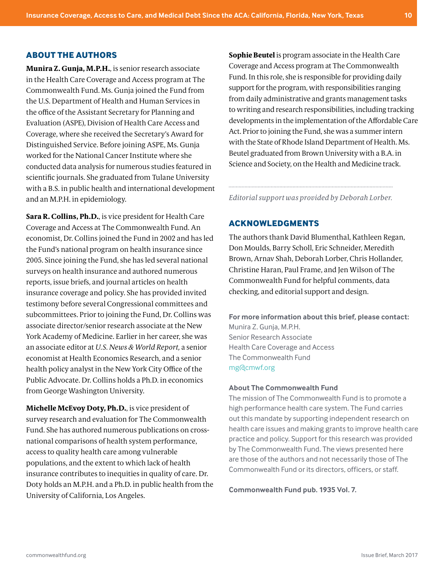#### **ABOUT THE AUTHORS**

**Munira Z. Gunja, M.P.H.**, is senior research associate in the Health Care Coverage and Access program at The Commonwealth Fund. Ms. Gunja joined the Fund from the U.S. Department of Health and Human Services in the office of the Assistant Secretary for Planning and Evaluation (ASPE), Division of Health Care Access and Coverage, where she received the Secretary's Award for Distinguished Service. Before joining ASPE, Ms. Gunja worked for the National Cancer Institute where she conducted data analysis for numerous studies featured in scientific journals. She graduated from Tulane University with a B.S. in public health and international development and an M.P.H. in epidemiology.

**Sara R. Collins, Ph.D.**, is vice president for Health Care Coverage and Access at The Commonwealth Fund. An economist, Dr. Collins joined the Fund in 2002 and has led the Fund's national program on health insurance since 2005. Since joining the Fund, she has led several national surveys on health insurance and authored numerous reports, issue briefs, and journal articles on health insurance coverage and policy. She has provided invited testimony before several Congressional committees and subcommittees. Prior to joining the Fund, Dr. Collins was associate director/senior research associate at the New York Academy of Medicine. Earlier in her career, she was an associate editor at *U.S. News & World Report,* a senior economist at Health Economics Research, and a senior health policy analyst in the New York City Office of the Public Advocate. Dr. Collins holds a Ph.D. in economics from George Washington University.

**Michelle McEvoy Doty, Ph.D.**, is vice president of survey research and evaluation for The Commonwealth Fund. She has authored numerous publications on crossnational comparisons of health system performance, access to quality health care among vulnerable populations, and the extent to which lack of health insurance contributes to inequities in quality of care. Dr. Doty holds an M.P.H. and a Ph.D. in public health from the University of California, Los Angeles.

**Sophie Beutel** is program associate in the Health Care Coverage and Access program at The Commonwealth Fund. In this role, she is responsible for providing daily support for the program, with responsibilities ranging from daily administrative and grants management tasks to writing and research responsibilities, including tracking developments in the implementation of the Affordable Care Act. Prior to joining the Fund, she was a summer intern with the State of Rhode Island Department of Health. Ms. Beutel graduated from Brown University with a B.A. in Science and Society, on the Health and Medicine track.

*Editorial support was provided by Deborah Lorber.*

## **ACKNOWLEDGMENTS**

The authors thank David Blumenthal, Kathleen Regan, Don Moulds, Barry Scholl, Eric Schneider, Meredith Brown, Arnav Shah, Deborah Lorber, Chris Hollander, Christine Haran, Paul Frame, and Jen Wilson of The Commonwealth Fund for helpful comments, data checking, and editorial support and design.

**For more information about this brief, please contact:**  Munira Z. Gunja, M.P.H. Senior Research Associate Health Care Coverage and Access The Commonwealth Fund [mg@cmwf.org](mailto:mg%40cmwf.org?subject=)

#### **About The Commonwealth Fund**

The mission of The Commonwealth Fund is to promote a high performance health care system. The Fund carries out this mandate by supporting independent research on health care issues and making grants to improve health care practice and policy. Support for this research was provided by The Commonwealth Fund. The views presented here are those of the authors and not necessarily those of The Commonwealth Fund or its directors, officers, or staff.

**Commonwealth Fund pub. 1935 Vol. 7.**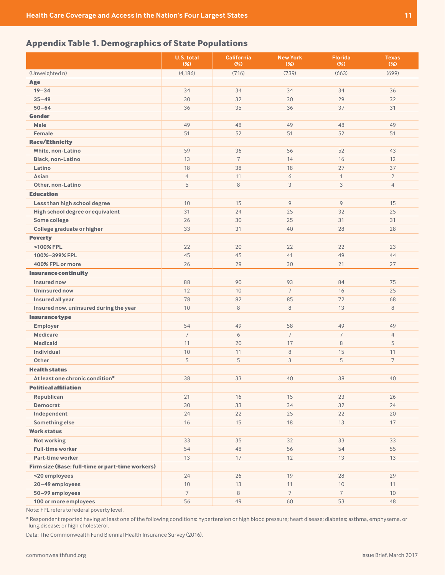# <span id="page-10-0"></span>**Appendix Table 1. Demographics of State Populations**

|                                                  | U.S. total<br>$(\%)$ | <b>California</b><br>$(\%)$ | <b>New York</b><br>$(\%)$ | <b>Florida</b><br>$(\%)$ | <b>Texas</b><br>$(\%)$ |
|--------------------------------------------------|----------------------|-----------------------------|---------------------------|--------------------------|------------------------|
| (Unweighted n)                                   | (4, 186)             | (716)                       | (739)                     | (663)                    | (699)                  |
| Age                                              |                      |                             |                           |                          |                        |
| $19 - 34$                                        | 34                   | 34                          | 34                        | 34                       | 36                     |
| $35 - 49$                                        | 30                   | 32                          | 30                        | 29                       | 32                     |
| $50 - 64$                                        | 36                   | 35                          | 36                        | 37                       | 31                     |
| <b>Gender</b>                                    |                      |                             |                           |                          |                        |
| <b>Male</b>                                      | 49                   | 48                          | 49                        | 48                       | 49                     |
| Female                                           | 51                   | 52                          | 51                        | 52                       | 51                     |
| <b>Race/Ethnicity</b>                            |                      |                             |                           |                          |                        |
| White, non-Latino                                | 59                   | 36                          | 56                        | 52                       | 43                     |
| Black, non-Latino                                | 13                   | $\overline{7}$              | 14                        | 16                       | 12                     |
| Latino                                           | 18                   | 38                          | 18                        | 27                       | 37                     |
| Asian                                            | $\overline{4}$       | 11                          | 6                         | $\mathbf{1}$             | $\overline{2}$         |
| Other, non-Latino                                | 5                    | $\,8\,$                     | 3                         | 3                        | $\overline{4}$         |
| <b>Education</b>                                 |                      |                             |                           |                          |                        |
| Less than high school degree                     | 10                   | 15                          | $\overline{9}$            | 9                        | 15                     |
| High school degree or equivalent                 | 31                   | 24                          | 25                        | 32                       | 25                     |
| Some college                                     | 26                   | 30                          | 25                        | 31                       | 31                     |
| College graduate or higher                       | 33                   | 31                          | 40                        | 28                       | 28                     |
| <b>Poverty</b>                                   |                      |                             |                           |                          |                        |
| <100% FPL                                        | 22                   | 20                          | 22                        | 22                       | 23                     |
| 100%-399% FPL                                    | 45                   | 45                          | 41                        | 49                       | 44                     |
| 400% FPL or more                                 | 26                   | 29                          | 30                        | 21                       | 27                     |
| <b>Insurance continuity</b>                      |                      |                             |                           |                          |                        |
| Insured now                                      | 88                   | 90                          | 93                        | 84                       | 75                     |
| <b>Uninsured now</b>                             | 12                   | 10                          | $\overline{7}$            | 16                       | 25                     |
| Insured all year                                 | 78                   | 82                          | 85                        | 72                       | 68                     |
| Insured now, uninsured during the year           | 10                   | $\, 8$                      | 8                         | 13                       | $\, 8$                 |
| <b>Insurancetype</b>                             |                      |                             |                           |                          |                        |
| Employer                                         | 54                   | 49                          | 58                        | 49                       | 49                     |
| <b>Medicare</b>                                  | $\overline{7}$       | 6                           | $\overline{7}$            | $\overline{7}$           | $\overline{4}$         |
| <b>Medicaid</b>                                  | 11                   | 20                          | 17                        | $\,8\,$                  | 5                      |
| Individual                                       | 10                   | 11                          | $\, 8$                    | 15                       | 11                     |
| <b>Other</b>                                     | 5                    | 5                           | 3                         | 5                        | $\overline{7}$         |
| <b>Health status</b>                             |                      |                             |                           |                          |                        |
| At least one chronic condition*                  | 38                   | 33                          | $40\,$                    | 38                       | $40\,$                 |
| <b>Political affiliation</b>                     |                      |                             |                           |                          |                        |
| Republican                                       | 21                   | 16                          | 15                        | 23                       | 26                     |
| Democrat                                         | 30                   | 33                          | 34                        | 32                       | 24                     |
| Independent                                      | 24                   | 22                          | 25                        | 22                       | 20                     |
| Something else                                   | 16                   | 15                          | 18                        | 13                       | 17                     |
| <b>Work status</b>                               |                      |                             |                           |                          |                        |
| Not working                                      | 33                   | 35                          | 32                        | 33                       | 33                     |
| <b>Full-time worker</b>                          | 54                   | 48                          | 56                        | 54                       | 55                     |
| Part-time worker                                 | 13                   | 17                          | 12                        | 13                       | 13                     |
| Firm size (Base: full-time or part-time workers) |                      |                             |                           |                          |                        |
| <20 employees                                    | 24                   | 26                          | 19                        | 28                       | 29                     |
| 20-49 employees                                  | $10$                 | 13                          | 11                        | $10$                     | 11                     |
| 50-99 employees                                  | $\overline{7}$       | $\,8\,$                     | $\overline{7}$            | $\overline{7}$           | 10                     |
| 100 or more employees                            | 56                   | 49                          | 60                        | 53                       | 48                     |

Note: FPL refers to federal poverty level.

\* Respondent reported having at least one of the following conditions: hypertension or high blood pressure; heart disease; diabetes; asthma, emphysema, or lung disease; or high cholesterol.

Data: The Commonwealth Fund Biennial Health Insurance Survey (2016).